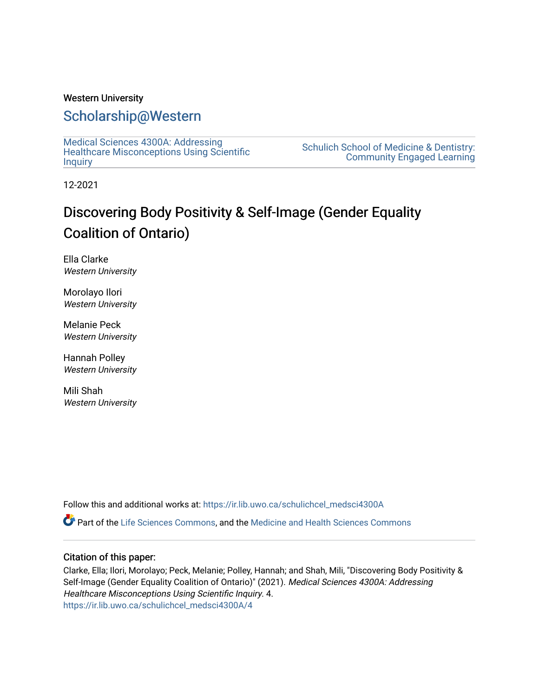### Western University

### [Scholarship@Western](https://ir.lib.uwo.ca/)

[Medical Sciences 4300A: Addressing](https://ir.lib.uwo.ca/schulichcel_medsci4300A)  [Healthcare Misconceptions Using Scientific](https://ir.lib.uwo.ca/schulichcel_medsci4300A) **[Inquiry](https://ir.lib.uwo.ca/schulichcel_medsci4300A)** 

[Schulich School of Medicine & Dentistry:](https://ir.lib.uwo.ca/schulichcel)  [Community Engaged Learning](https://ir.lib.uwo.ca/schulichcel) 

12-2021

# Discovering Body Positivity & Self-Image (Gender Equality Coalition of Ontario)

Ella Clarke Western University

Morolayo Ilori Western University

Melanie Peck Western University

Hannah Polley Western University

Mili Shah Western University

Follow this and additional works at: [https://ir.lib.uwo.ca/schulichcel\\_medsci4300A](https://ir.lib.uwo.ca/schulichcel_medsci4300A?utm_source=ir.lib.uwo.ca%2Fschulichcel_medsci4300A%2F4&utm_medium=PDF&utm_campaign=PDFCoverPages)

Part of the [Life Sciences Commons,](http://network.bepress.com/hgg/discipline/1016?utm_source=ir.lib.uwo.ca%2Fschulichcel_medsci4300A%2F4&utm_medium=PDF&utm_campaign=PDFCoverPages) and the [Medicine and Health Sciences Commons](http://network.bepress.com/hgg/discipline/648?utm_source=ir.lib.uwo.ca%2Fschulichcel_medsci4300A%2F4&utm_medium=PDF&utm_campaign=PDFCoverPages)

#### Citation of this paper:

Clarke, Ella; Ilori, Morolayo; Peck, Melanie; Polley, Hannah; and Shah, Mili, "Discovering Body Positivity & Self-Image (Gender Equality Coalition of Ontario)" (2021). Medical Sciences 4300A: Addressing Healthcare Misconceptions Using Scientific Inquiry. 4. [https://ir.lib.uwo.ca/schulichcel\\_medsci4300A/4](https://ir.lib.uwo.ca/schulichcel_medsci4300A/4?utm_source=ir.lib.uwo.ca%2Fschulichcel_medsci4300A%2F4&utm_medium=PDF&utm_campaign=PDFCoverPages)